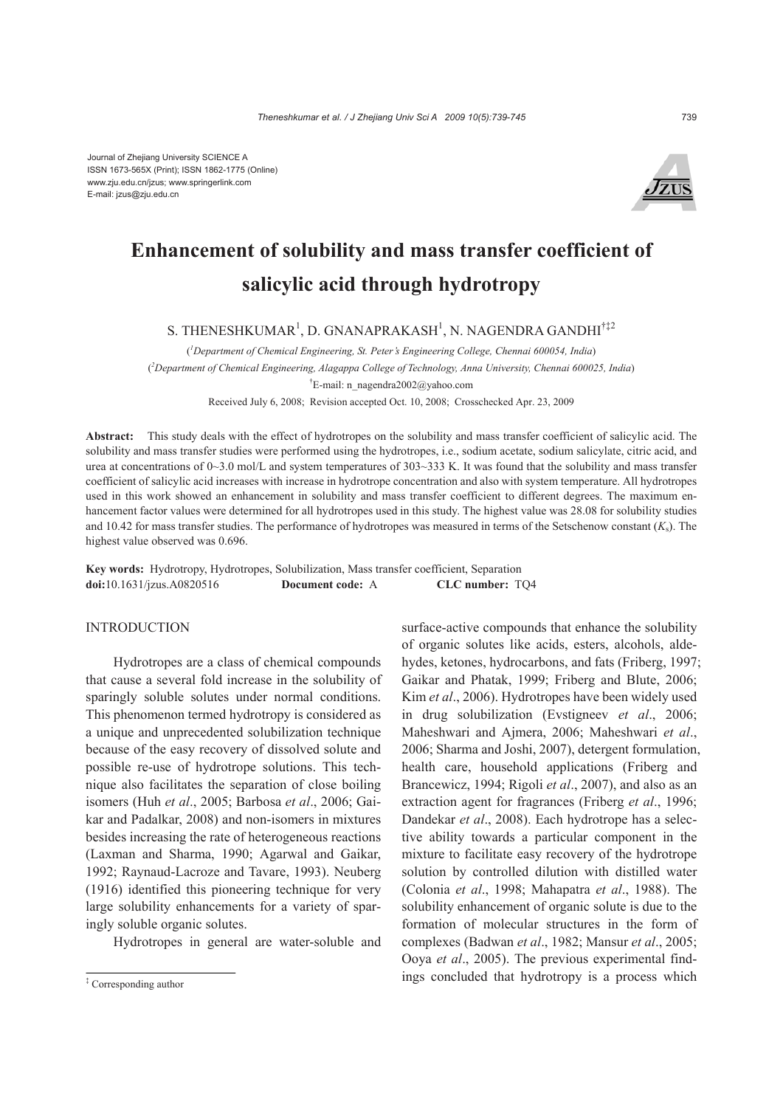

# **Enhancement of solubility and mass transfer coefficient of salicylic acid through hydrotropy**

S. THENESHKUMAR<sup>1</sup>, D. GNANAPRAKASH<sup>1</sup>, N. NAGENDRA GANDHI<sup>†‡2</sup>

( *1 Department of Chemical Engineering, St. Peter's Engineering College, Chennai 600054, India*)

( *2 Department of Chemical Engineering, Alagappa College of Technology, Anna University, Chennai 600025, India*)

<sup>†</sup>E-mail: n\_nagendra2002@yahoo.com

Received July 6, 2008; Revision accepted Oct. 10, 2008; Crosschecked Apr. 23, 2009

**Abstract:** This study deals with the effect of hydrotropes on the solubility and mass transfer coefficient of salicylic acid. The solubility and mass transfer studies were performed using the hydrotropes, i.e., sodium acetate, sodium salicylate, citric acid, and urea at concentrations of 0~3.0 mol/L and system temperatures of 303~333 K. It was found that the solubility and mass transfer coefficient of salicylic acid increases with increase in hydrotrope concentration and also with system temperature. All hydrotropes used in this work showed an enhancement in solubility and mass transfer coefficient to different degrees. The maximum enhancement factor values were determined for all hydrotropes used in this study. The highest value was 28.08 for solubility studies and 10.42 for mass transfer studies. The performance of hydrotropes was measured in terms of the Setschenow constant (*K*s). The highest value observed was 0.696.

**Key words:** Hydrotropy, Hydrotropes, Solubilization, Mass transfer coefficient, Separation **doi:**10.1631/jzus.A0820516 **Document code:** A **CLC number:** TQ4

# **INTRODUCTION**

Hydrotropes are a class of chemical compounds that cause a several fold increase in the solubility of sparingly soluble solutes under normal conditions. This phenomenon termed hydrotropy is considered as a unique and unprecedented solubilization technique because of the easy recovery of dissolved solute and possible re-use of hydrotrope solutions. This technique also facilitates the separation of close boiling isomers (Huh *et al*., 2005; Barbosa *et al*., 2006; Gaikar and Padalkar, 2008) and non-isomers in mixtures besides increasing the rate of heterogeneous reactions (Laxman and Sharma, 1990; Agarwal and Gaikar, 1992; Raynaud-Lacroze and Tavare, 1993). Neuberg (1916) identified this pioneering technique for very large solubility enhancements for a variety of sparingly soluble organic solutes.

Hydrotropes in general are water-soluble and

surface-active compounds that enhance the solubility of organic solutes like acids, esters, alcohols, aldehydes, ketones, hydrocarbons, and fats (Friberg, 1997; Gaikar and Phatak, 1999; Friberg and Blute, 2006; Kim *et al*., 2006). Hydrotropes have been widely used in drug solubilization (Evstigneev *et al*., 2006; Maheshwari and Ajmera, 2006; Maheshwari *et al*., 2006; Sharma and Joshi, 2007), detergent formulation, health care, household applications (Friberg and Brancewicz, 1994; Rigoli *et al*., 2007), and also as an extraction agent for fragrances (Friberg *et al*., 1996; Dandekar *et al*., 2008). Each hydrotrope has a selective ability towards a particular component in the mixture to facilitate easy recovery of the hydrotrope solution by controlled dilution with distilled water (Colonia *et al*., 1998; Mahapatra *et al*., 1988). The solubility enhancement of organic solute is due to the formation of molecular structures in the form of complexes (Badwan *et al*., 1982; Mansur *et al*., 2005; Ooya *et al*., 2005). The previous experimental findings concluded that hydrotropy is a process which

<sup>‡</sup> Corresponding author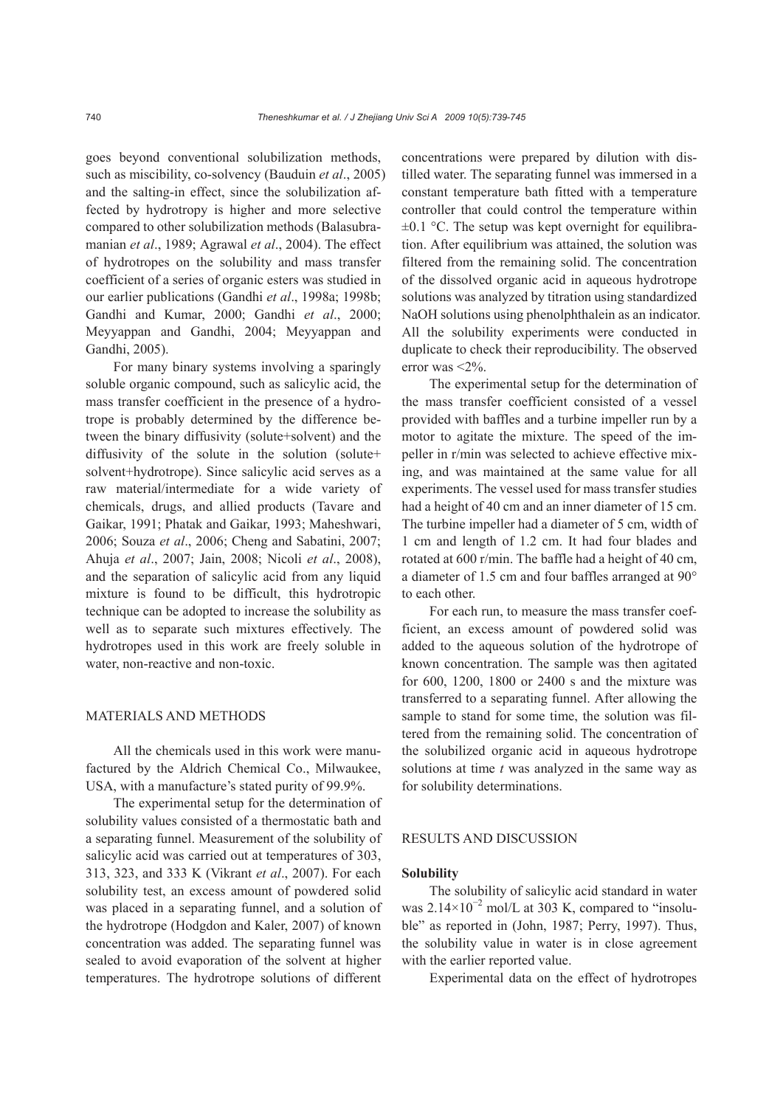goes beyond conventional solubilization methods, such as miscibility, co-solvency (Bauduin *et al*., 2005) and the salting-in effect, since the solubilization affected by hydrotropy is higher and more selective compared to other solubilization methods (Balasubramanian *et al*., 1989; Agrawal *et al*., 2004). The effect of hydrotropes on the solubility and mass transfer coefficient of a series of organic esters was studied in our earlier publications (Gandhi *et al*., 1998a; 1998b; Gandhi and Kumar, 2000; Gandhi *et al*., 2000; Meyyappan and Gandhi, 2004; Meyyappan and Gandhi, 2005).

For many binary systems involving a sparingly soluble organic compound, such as salicylic acid, the mass transfer coefficient in the presence of a hydrotrope is probably determined by the difference between the binary diffusivity (solute+solvent) and the diffusivity of the solute in the solution (solute+ solvent+hydrotrope). Since salicylic acid serves as a raw material/intermediate for a wide variety of chemicals, drugs, and allied products (Tavare and Gaikar, 1991; Phatak and Gaikar, 1993; Maheshwari, 2006; Souza *et al*., 2006; Cheng and Sabatini, 2007; Ahuja *et al*., 2007; Jain, 2008; Nicoli *et al*., 2008), and the separation of salicylic acid from any liquid mixture is found to be difficult, this hydrotropic technique can be adopted to increase the solubility as well as to separate such mixtures effectively. The hydrotropes used in this work are freely soluble in water, non-reactive and non-toxic.

# MATERIALS AND METHODS

All the chemicals used in this work were manufactured by the Aldrich Chemical Co., Milwaukee, USA, with a manufacture's stated purity of 99.9%.

The experimental setup for the determination of solubility values consisted of a thermostatic bath and a separating funnel. Measurement of the solubility of salicylic acid was carried out at temperatures of 303, 313, 323, and 333 K (Vikrant *et al*., 2007). For each solubility test, an excess amount of powdered solid was placed in a separating funnel, and a solution of the hydrotrope (Hodgdon and Kaler, 2007) of known concentration was added. The separating funnel was sealed to avoid evaporation of the solvent at higher temperatures. The hydrotrope solutions of different concentrations were prepared by dilution with distilled water. The separating funnel was immersed in a constant temperature bath fitted with a temperature controller that could control the temperature within  $\pm 0.1$  °C. The setup was kept overnight for equilibration. After equilibrium was attained, the solution was filtered from the remaining solid. The concentration of the dissolved organic acid in aqueous hydrotrope solutions was analyzed by titration using standardized NaOH solutions using phenolphthalein as an indicator. All the solubility experiments were conducted in duplicate to check their reproducibility. The observed error was <2%.

The experimental setup for the determination of the mass transfer coefficient consisted of a vessel provided with baffles and a turbine impeller run by a motor to agitate the mixture. The speed of the impeller in r/min was selected to achieve effective mixing, and was maintained at the same value for all experiments. The vessel used for mass transfer studies had a height of 40 cm and an inner diameter of 15 cm. The turbine impeller had a diameter of 5 cm, width of 1 cm and length of 1.2 cm. It had four blades and rotated at 600 r/min. The baffle had a height of 40 cm, a diameter of 1.5 cm and four baffles arranged at 90° to each other.

For each run, to measure the mass transfer coefficient, an excess amount of powdered solid was added to the aqueous solution of the hydrotrope of known concentration. The sample was then agitated for 600, 1200, 1800 or 2400 s and the mixture was transferred to a separating funnel. After allowing the sample to stand for some time, the solution was filtered from the remaining solid. The concentration of the solubilized organic acid in aqueous hydrotrope solutions at time *t* was analyzed in the same way as for solubility determinations.

# RESULTS AND DISCUSSION

#### **Solubility**

The solubility of salicylic acid standard in water was  $2.14 \times 10^{-2}$  mol/L at 303 K, compared to "insoluble" as reported in (John, 1987; Perry, 1997). Thus, the solubility value in water is in close agreement with the earlier reported value.

Experimental data on the effect of hydrotropes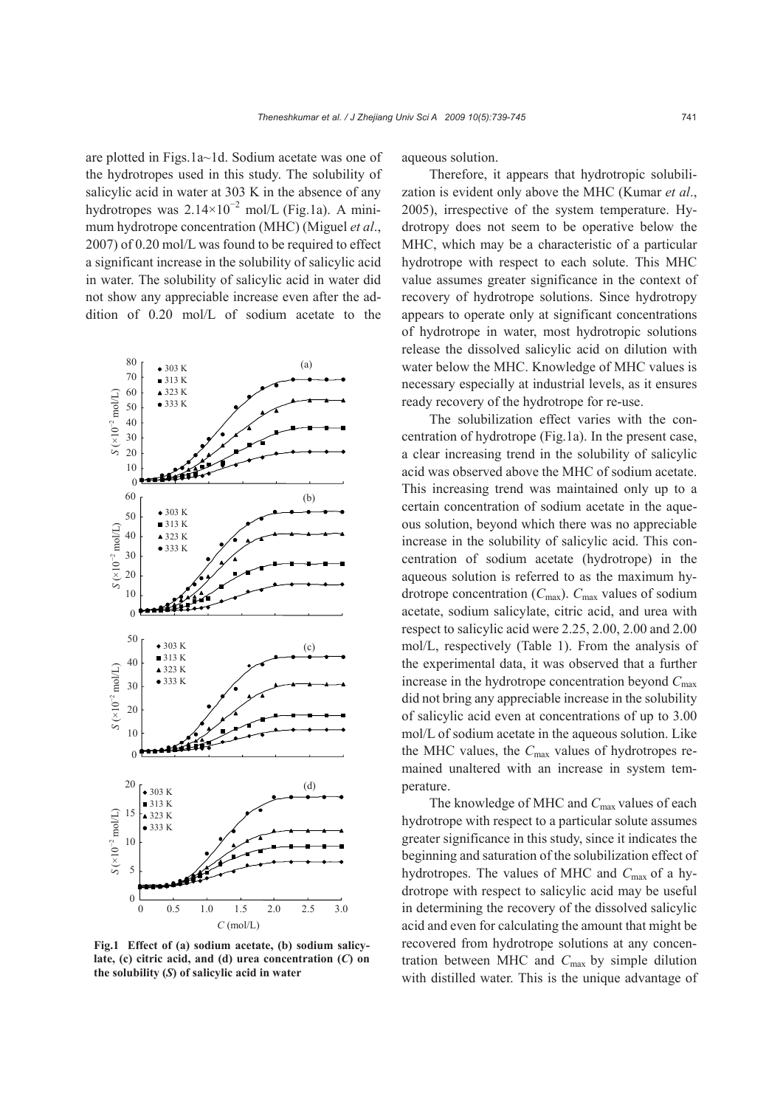are plotted in Figs.1a~1d. Sodium acetate was one of the hydrotropes used in this study. The solubility of salicylic acid in water at 303 K in the absence of any hydrotropes was  $2.14 \times 10^{-2}$  mol/L (Fig.1a). A minimum hydrotrope concentration (MHC) (Miguel *et al*., 2007) of 0.20 mol/L was found to be required to effect a significant increase in the solubility of salicylic acid in water. The solubility of salicylic acid in water did not show any appreciable increase even after the addition of 0.20 mol/L of sodium acetate to the



**Fig.1 Effect of (a) sodium acetate, (b) sodium salicylate, (c) citric acid, and (d) urea concentration (***C***) on the solubility (***S***) of salicylic acid in water** 

aqueous solution.

Therefore, it appears that hydrotropic solubilization is evident only above the MHC (Kumar *et al*., 2005), irrespective of the system temperature. Hydrotropy does not seem to be operative below the MHC, which may be a characteristic of a particular hydrotrope with respect to each solute. This MHC value assumes greater significance in the context of recovery of hydrotrope solutions. Since hydrotropy appears to operate only at significant concentrations of hydrotrope in water, most hydrotropic solutions release the dissolved salicylic acid on dilution with water below the MHC. Knowledge of MHC values is necessary especially at industrial levels, as it ensures ready recovery of the hydrotrope for re-use.

The solubilization effect varies with the concentration of hydrotrope (Fig.1a). In the present case, a clear increasing trend in the solubility of salicylic acid was observed above the MHC of sodium acetate. This increasing trend was maintained only up to a certain concentration of sodium acetate in the aqueous solution, beyond which there was no appreciable increase in the solubility of salicylic acid. This concentration of sodium acetate (hydrotrope) in the aqueous solution is referred to as the maximum hydrotrope concentration ( $C_{\text{max}}$ ).  $C_{\text{max}}$  values of sodium acetate, sodium salicylate, citric acid, and urea with respect to salicylic acid were 2.25, 2.00, 2.00 and 2.00 mol/L, respectively (Table 1). From the analysis of the experimental data, it was observed that a further increase in the hydrotrope concentration beyond *C*max did not bring any appreciable increase in the solubility of salicylic acid even at concentrations of up to 3.00 mol/L of sodium acetate in the aqueous solution. Like the MHC values, the *C*max values of hydrotropes remained unaltered with an increase in system temperature.

The knowledge of MHC and C<sub>max</sub> values of each hydrotrope with respect to a particular solute assumes greater significance in this study, since it indicates the beginning and saturation of the solubilization effect of hydrotropes. The values of MHC and *C*max of a hydrotrope with respect to salicylic acid may be useful in determining the recovery of the dissolved salicylic acid and even for calculating the amount that might be recovered from hydrotrope solutions at any concentration between MHC and *C*max by simple dilution with distilled water. This is the unique advantage of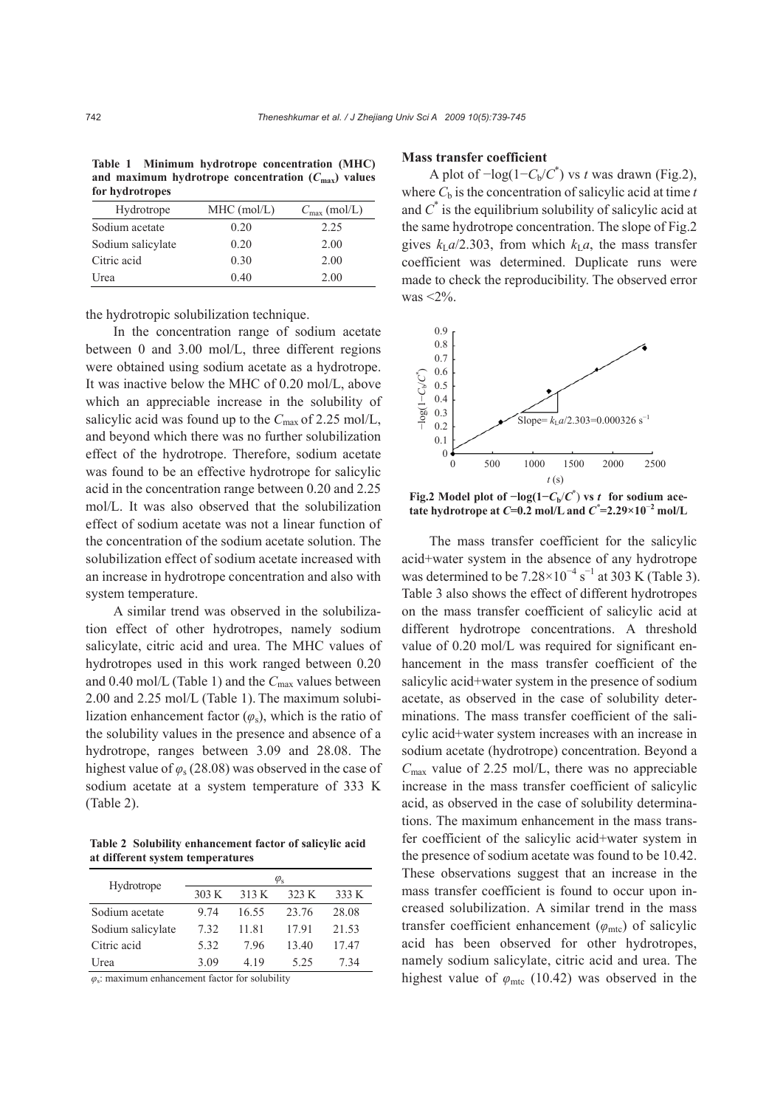**Table 1 Minimum hydrotrope concentration (MHC)** and maximum hydrotrope concentration  $(C_{\text{max}})$  values **for hydrotropes**

| Hydrotrope        | $MHC$ (mol/L) | $C_{\text{max}}$ (mol/L) |
|-------------------|---------------|--------------------------|
| Sodium acetate    | 0.20          | 2.25                     |
| Sodium salicylate | 0.20          | 2.00                     |
| Citric acid       | 0.30          | 2.00                     |
| Urea              | 0.40          | 2.00                     |

the hydrotropic solubilization technique.

In the concentration range of sodium acetate between 0 and 3.00 mol/L, three different regions were obtained using sodium acetate as a hydrotrope. It was inactive below the MHC of 0.20 mol/L, above which an appreciable increase in the solubility of salicylic acid was found up to the C<sub>max</sub> of 2.25 mol/L, and beyond which there was no further solubilization effect of the hydrotrope. Therefore, sodium acetate was found to be an effective hydrotrope for salicylic acid in the concentration range between 0.20 and 2.25 mol/L. It was also observed that the solubilization effect of sodium acetate was not a linear function of the concentration of the sodium acetate solution. The solubilization effect of sodium acetate increased with an increase in hydrotrope concentration and also with system temperature.

A similar trend was observed in the solubilization effect of other hydrotropes, namely sodium salicylate, citric acid and urea. The MHC values of hydrotropes used in this work ranged between 0.20 and 0.40 mol/L (Table 1) and the *C*max values between 2.00 and 2.25 mol/L (Table 1). The maximum solubilization enhancement factor  $(\varphi_s)$ , which is the ratio of the solubility values in the presence and absence of a hydrotrope, ranges between 3.09 and 28.08. The highest value of *φ*s (28.08) was observed in the case of sodium acetate at a system temperature of 333 K (Table 2).

**Table 2 Solubility enhancement factor of salicylic acid at different system temperatures**

| Hydrotrope        | $\varphi_{\rm s}$ |       |       |       |
|-------------------|-------------------|-------|-------|-------|
|                   | 303 K             | 313 K | 323 K | 333 K |
| Sodium acetate    | 9 74              | 16.55 | 23.76 | 28.08 |
| Sodium salicylate | 7.32              | 11.81 | 1791  | 21.53 |
| Citric acid       | 5.32              | 796   | 13.40 | 17.47 |
| Urea              | 3.09              | 4 1 9 | 525   | 7 34  |

*φ*s: maximum enhancement factor for solubility

#### **Mass transfer coefficient**

A plot of  $-\log(1 - C_b/C^*)$  vs *t* was drawn (Fig.2), where  $C_b$  is the concentration of salicylic acid at time  $t$ and  $C^*$  is the equilibrium solubility of salicylic acid at the same hydrotrope concentration. The slope of Fig.2 gives  $k_{\text{L}}a/2.303$ , from which  $k_{\text{L}}a$ , the mass transfer coefficient was determined. Duplicate runs were made to check the reproducibility. The observed error was <2%.



**Fig.2** Model plot of  $-\log(1 - C_b/C^*)$  vs *t* for sodium ace**tate hydrotrope at** *C***=0.2 mol/L and**  $C^*$ **=2.29×10<sup>-2</sup> mol/L** 

The mass transfer coefficient for the salicylic acid+water system in the absence of any hydrotrope was determined to be  $7.28 \times 10^{-4}$  s<sup>-1</sup> at 303 K (Table 3). Table 3 also shows the effect of different hydrotropes on the mass transfer coefficient of salicylic acid at different hydrotrope concentrations. A threshold value of 0.20 mol/L was required for significant enhancement in the mass transfer coefficient of the salicylic acid+water system in the presence of sodium acetate, as observed in the case of solubility determinations. The mass transfer coefficient of the salicylic acid+water system increases with an increase in sodium acetate (hydrotrope) concentration. Beyond a *C*max value of 2.25 mol/L, there was no appreciable increase in the mass transfer coefficient of salicylic acid, as observed in the case of solubility determinations. The maximum enhancement in the mass transfer coefficient of the salicylic acid+water system in the presence of sodium acetate was found to be 10.42. These observations suggest that an increase in the mass transfer coefficient is found to occur upon increased solubilization. A similar trend in the mass transfer coefficient enhancement ( $\varphi$ <sub>mtc</sub>) of salicylic acid has been observed for other hydrotropes, namely sodium salicylate, citric acid and urea. The highest value of  $\varphi$ <sub>mtc</sub> (10.42) was observed in the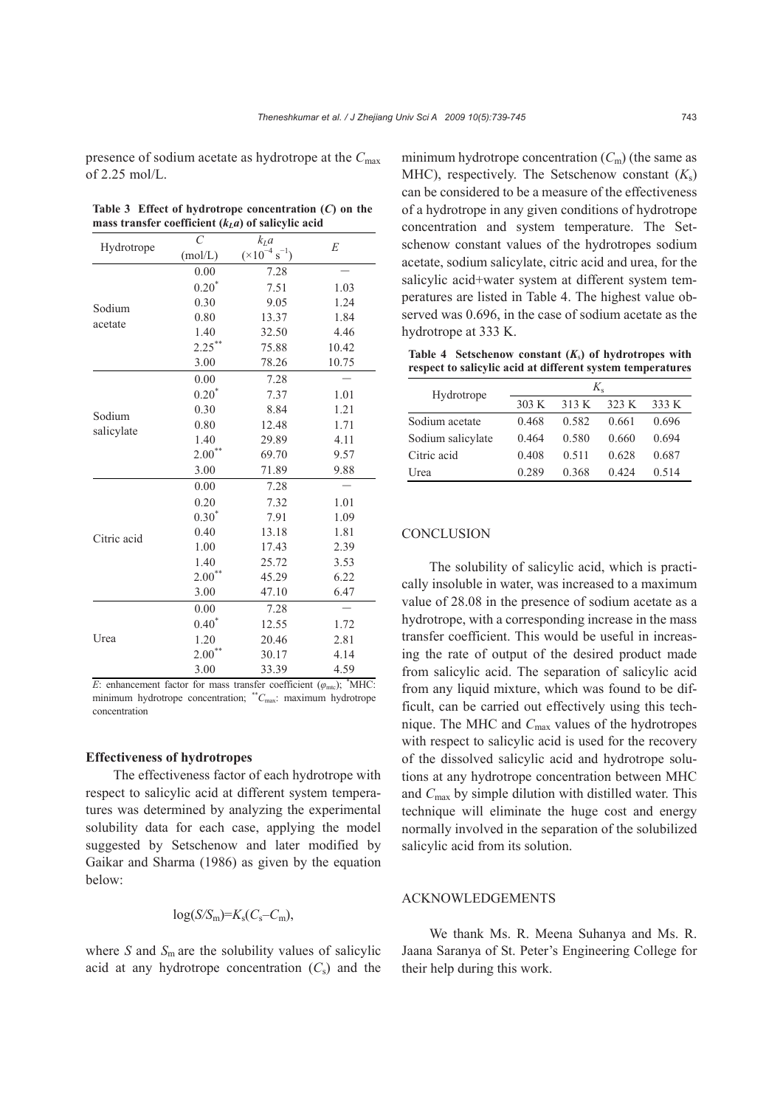presence of sodium acetate as hydrotrope at the *C*max of 2.25 mol/L.

| Table 3 Effect of hydrotrope concentration $(C)$ on the |  |
|---------------------------------------------------------|--|
| mass transfer coefficient $(kLa)$ of salicylic acid     |  |

|                   | $\mathcal{C}_{0}^{0}$ | $k_I a$                           | E     |
|-------------------|-----------------------|-----------------------------------|-------|
| Hydrotrope        | (mol/L)               | $(\times 10^{-4} \text{ s}^{-1})$ |       |
| Sodium<br>acetate | 0.00                  | 7.28                              |       |
|                   | $0.20^{*}$            | 7.51                              | 1.03  |
|                   | 0.30                  | 9.05                              | 1.24  |
|                   | 0.80                  | 13.37                             | 1.84  |
|                   | 1.40                  | 32.50                             | 4.46  |
|                   | $2.25***$             | 75.88                             | 10.42 |
|                   | 3.00                  | 78.26                             | 10.75 |
|                   | 0.00                  | 7.28                              |       |
|                   | $0.20^{*}$            | 7.37                              | 1.01  |
| Sodium            | 0.30                  | 8.84                              | 1.21  |
| salicylate        | 0.80                  | 12.48                             | 1.71  |
|                   | 1.40                  | 29.89                             | 4.11  |
|                   | $2.00^{**}$           | 69.70                             | 9.57  |
|                   | 3.00                  | 71.89                             | 9.88  |
|                   | 0.00                  | 7.28                              |       |
|                   | 0.20                  | 7.32                              | 1.01  |
| Citric acid       | $0.30^{*}$            | 7.91                              | 1.09  |
|                   | 0.40                  | 13.18                             | 1.81  |
|                   | 1.00                  | 17.43                             | 2.39  |
|                   | 1.40                  | 25.72                             | 3.53  |
|                   | $2.00**$              | 45.29                             | 6.22  |
|                   | 3.00                  | 47.10                             | 6.47  |
| Urea              | 0.00                  | 7.28                              |       |
|                   | $0.40*$               | 12.55                             | 1.72  |
|                   | 1.20                  | 20.46                             | 2.81  |
|                   | $2.00**$              | 30.17                             | 4.14  |
|                   | 3.00                  | 33.39                             | 4.59  |

*E*: enhancement factor for mass transfer coefficient  $(\varphi_{\text{mtc}})$ ;  $^*$ MHC: minimum hydrotrope concentration; \*\**C*<sub>max</sub>: maximum hydrotrope concentration

## **Effectiveness of hydrotropes**

The effectiveness factor of each hydrotrope with respect to salicylic acid at different system temperatures was determined by analyzing the experimental solubility data for each case, applying the model suggested by Setschenow and later modified by Gaikar and Sharma (1986) as given by the equation below:

$$
\log(S/S_m) = K_s(C_s - C_m),
$$

where  $S$  and  $S_m$  are the solubility values of salicylic acid at any hydrotrope concentration  $(C_s)$  and the minimum hydrotrope concentration  $(C_m)$  (the same as MHC), respectively. The Setschenow constant  $(K<sub>s</sub>)$ can be considered to be a measure of the effectiveness of a hydrotrope in any given conditions of hydrotrope concentration and system temperature. The Setschenow constant values of the hydrotropes sodium acetate, sodium salicylate, citric acid and urea, for the salicylic acid+water system at different system temperatures are listed in Table 4. The highest value observed was 0.696, in the case of sodium acetate as the hydrotrope at 333 K.

Table 4 Setschenow constant  $(K_s)$  of hydrotropes with **respect to salicylic acid at different system temperatures**

| Hydrotrope        | $K_{\rm e}$ |       |       |       |
|-------------------|-------------|-------|-------|-------|
|                   | 303 K       | 313 K | 323 K | 333 K |
| Sodium acetate    | 0.468       | 0.582 | 0.661 | 0.696 |
| Sodium salicylate | 0.464       | 0.580 | 0.660 | 0.694 |
| Citric acid       | 0.408       | 0.511 | 0.628 | 0.687 |
| Urea              | 0.289       | 0.368 | 0.424 | 0.514 |

# **CONCLUSION**

The solubility of salicylic acid, which is practically insoluble in water, was increased to a maximum value of 28.08 in the presence of sodium acetate as a hydrotrope, with a corresponding increase in the mass transfer coefficient. This would be useful in increasing the rate of output of the desired product made from salicylic acid. The separation of salicylic acid from any liquid mixture, which was found to be difficult, can be carried out effectively using this technique. The MHC and *C*max values of the hydrotropes with respect to salicylic acid is used for the recovery of the dissolved salicylic acid and hydrotrope solutions at any hydrotrope concentration between MHC and *C*max by simple dilution with distilled water. This technique will eliminate the huge cost and energy normally involved in the separation of the solubilized salicylic acid from its solution.

# ACKNOWLEDGEMENTS

We thank Ms. R. Meena Suhanya and Ms. R. Jaana Saranya of St. Peter's Engineering College for their help during this work.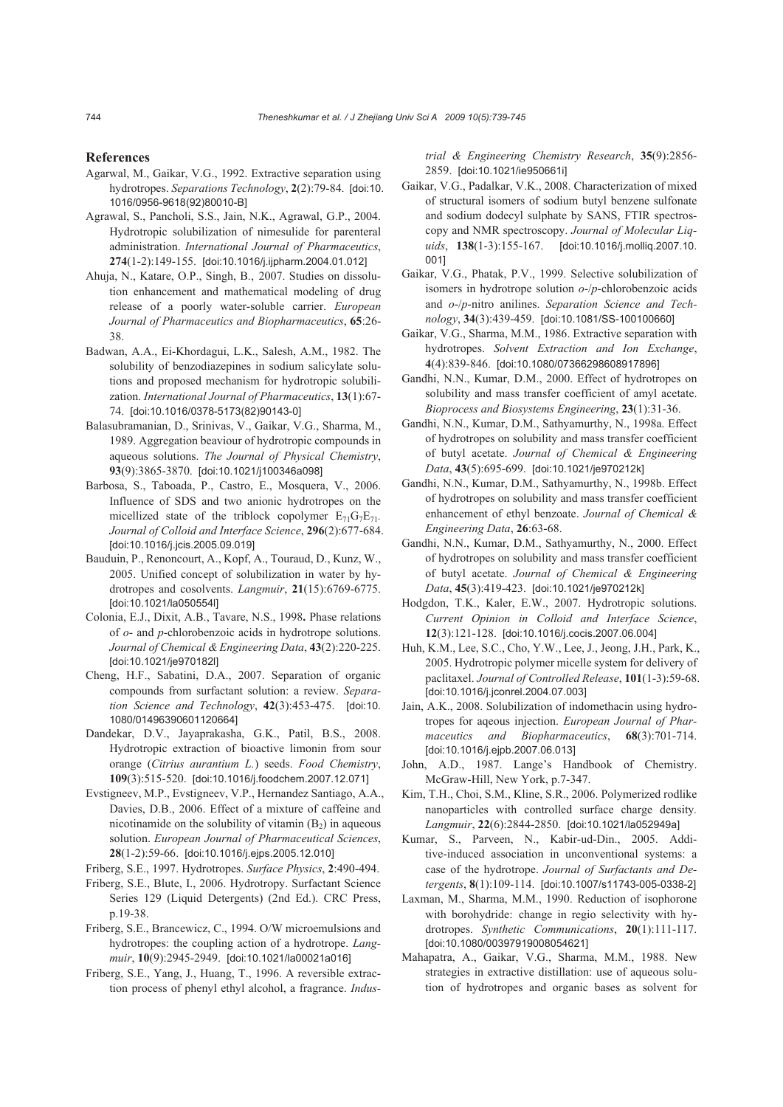#### **References**

- Agarwal, M., Gaikar, V.G., 1992. Extractive separation using hydrotropes. *Separations Technology*, **2**(2):79-84. [doi:10. 1016/0956-9618(92)80010-B]
- Agrawal, S., Pancholi, S.S., Jain, N.K., Agrawal, G.P., 2004. Hydrotropic solubilization of nimesulide for parenteral administration. *International Journal of Pharmaceutics*, **274**(1-2):149-155. [doi:10.1016/j.ijpharm.2004.01.012]
- Ahuja, N., Katare, O.P., Singh, B., 2007. Studies on dissolution enhancement and mathematical modeling of drug release of a poorly water-soluble carrier. *European Journal of Pharmaceutics and Biopharmaceutics*, **65**:26- 38.
- Badwan, A.A., Ei-Khordagui, L.K., Salesh, A.M., 1982. The solubility of benzodiazepines in sodium salicylate solutions and proposed mechanism for hydrotropic solubilization. *International Journal of Pharmaceutics*, **13**(1):67- 74. [doi:10.1016/0378-5173(82)90143-0]
- Balasubramanian, D., Srinivas, V., Gaikar, V.G., Sharma, M., 1989. Aggregation beaviour of hydrotropic compounds in aqueous solutions. *The Journal of Physical Chemistry*, **93**(9):3865-3870. [doi:10.1021/j100346a098]
- Barbosa, S., Taboada, P., Castro, E., Mosquera, V., 2006. Influence of SDS and two anionic hydrotropes on the micellized state of the triblock copolymer  $E_{71}G_7E_{71}$ . *Journal of Colloid and Interface Science*, **296**(2):677-684. [doi:10.1016/j.jcis.2005.09.019]
- Bauduin, P., Renoncourt, A., Kopf, A., Touraud, D., Kunz, W., 2005. Unified concept of solubilization in water by hydrotropes and cosolvents. *Langmuir*, **21**(15):6769-6775. [doi:10.1021/la050554l]
- Colonia, E.J., Dixit, A.B., Tavare, N.S., 1998**.** Phase relations of *o*- and *p*-chlorobenzoic acids in hydrotrope solutions. *Journal of Chemical & Engineering Data*, **43**(2):220-225. [doi:10.1021/je970182l]
- Cheng, H.F., Sabatini, D.A., 2007. Separation of organic compounds from surfactant solution: a review. *Separation Science and Technology*, **42**(3):453-475. [doi:10. 1080/01496390601120664]
- Dandekar, D.V., Jayaprakasha, G.K., Patil, B.S., 2008. Hydrotropic extraction of bioactive limonin from sour orange (*Citrius aurantium L.*) seeds. *Food Chemistry*, **109**(3):515-520. [doi:10.1016/j.foodchem.2007.12.071]
- Evstigneev, M.P., Evstigneev, V.P., Hernandez Santiago, A.A., Davies, D.B., 2006. Effect of a mixture of caffeine and nicotinamide on the solubility of vitamin  $(B<sub>2</sub>)$  in aqueous solution. *European Journal of Pharmaceutical Sciences*, **28**(1-2):59-66. [doi:10.1016/j.ejps.2005.12.010]
- Friberg, S.E., 1997. Hydrotropes. *Surface Physics*, **2**:490-494.
- Friberg, S.E., Blute, I., 2006. Hydrotropy. Surfactant Science Series 129 (Liquid Detergents) (2nd Ed.). CRC Press, p.19-38.
- Friberg, S.E., Brancewicz, C., 1994. O/W microemulsions and hydrotropes: the coupling action of a hydrotrope. *Langmuir*, **10**(9):2945-2949. [doi:10.1021/la00021a016]
- Friberg, S.E., Yang, J., Huang, T., 1996. A reversible extraction process of phenyl ethyl alcohol, a fragrance. *Indus-*

*trial & Engineering Chemistry Research*, **35**(9):2856- 2859. [doi:10.1021/ie950661i]

- Gaikar, V.G., Padalkar, V.K., 2008. Characterization of mixed of structural isomers of sodium butyl benzene sulfonate and sodium dodecyl sulphate by SANS, FTIR spectroscopy and NMR spectroscopy. *Journal of Molecular Liquids*, **138**(1-3):155-167. [doi:10.1016/j.molliq.2007.10. 001]
- Gaikar, V.G., Phatak, P.V., 1999. Selective solubilization of isomers in hydrotrope solution *o*-/*p*-chlorobenzoic acids and *o*-/*p*-nitro anilines. *Separation Science and Technology*, **34**(3):439-459. [doi:10.1081/SS-100100660]
- Gaikar, V.G., Sharma, M.M., 1986. Extractive separation with hydrotropes. *Solvent Extraction and Ion Exchange*, **4**(4):839-846. [doi:10.1080/07366298608917896]
- Gandhi, N.N., Kumar, D.M., 2000. Effect of hydrotropes on solubility and mass transfer coefficient of amyl acetate. *Bioprocess and Biosystems Engineering*, **23**(1):31-36.
- Gandhi, N.N., Kumar, D.M., Sathyamurthy, N., 1998a. Effect of hydrotropes on solubility and mass transfer coefficient of butyl acetate. *Journal of Chemical & Engineering Data*, **43**(5):695-699. [doi:10.1021/je970212k]
- Gandhi, N.N., Kumar, D.M., Sathyamurthy, N., 1998b. Effect of hydrotropes on solubility and mass transfer coefficient enhancement of ethyl benzoate. *Journal of Chemical & Engineering Data*, **26**:63-68.
- Gandhi, N.N., Kumar, D.M., Sathyamurthy, N., 2000. Effect of hydrotropes on solubility and mass transfer coefficient of butyl acetate. *Journal of Chemical & Engineering Data*, **45**(3):419-423. [doi:10.1021/je970212k]
- Hodgdon, T.K., Kaler, E.W., 2007. Hydrotropic solutions. *Current Opinion in Colloid and Interface Science*, **12**(3):121-128. [doi:10.1016/j.cocis.2007.06.004]
- Huh, K.M., Lee, S.C., Cho, Y.W., Lee, J., Jeong, J.H., Park, K., 2005. Hydrotropic polymer micelle system for delivery of paclitaxel. *Journal of Controlled Release*, **101**(1-3):59-68. [doi:10.1016/j.jconrel.2004.07.003]
- Jain, A.K., 2008. Solubilization of indomethacin using hydrotropes for aqeous injection. *European Journal of Pharmaceutics and Biopharmaceutics*, **68**(3):701-714. [doi:10.1016/j.ejpb.2007.06.013]
- John, A.D., 1987. Lange's Handbook of Chemistry. McGraw-Hill, New York, p.7-347.
- Kim, T.H., Choi, S.M., Kline, S.R., 2006. Polymerized rodlike nanoparticles with controlled surface charge density*. Langmuir*, **22**(6):2844-2850. [doi:10.1021/la052949a]
- Kumar, S., Parveen, N., Kabir-ud-Din., 2005. Additive-induced association in unconventional systems: a case of the hydrotrope. *Journal of Surfactants and Detergents*, **8**(1):109-114. [doi:10.1007/s11743-005-0338-2]
- Laxman, M., Sharma, M.M., 1990. Reduction of isophorone with borohydride: change in regio selectivity with hydrotropes. *Synthetic Communications*, **20**(1):111-117. [doi:10.1080/00397919008054621]
- Mahapatra, A., Gaikar, V.G., Sharma, M.M., 1988. New strategies in extractive distillation: use of aqueous solution of hydrotropes and organic bases as solvent for